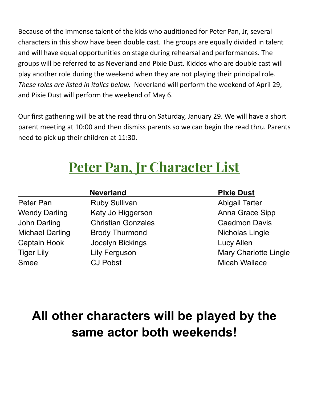Because of the immense talent of the kids who auditioned for Peter Pan, Jr, several characters in this show have been double cast. The groups are equally divided in talent and will have equal opportunities on stage during rehearsal and performances. The groups will be referred to as Neverland and Pixie Dust. Kiddos who are double cast will play another role during the weekend when they are not playing their principal role. *These roles are listed in italics below.* Neverland will perform the weekend of April 29, and Pixie Dust will perform the weekend of May 6.

Our first gathering will be at the read thru on Saturday, January 29. We will have a short parent meeting at 10:00 and then dismiss parents so we can begin the read thru. Parents need to pick up their children at 11:30.

# **Peter Pan, Jr Character List**

| <b>Neverland</b>       |                           | <b>Pixie Dust</b>            |
|------------------------|---------------------------|------------------------------|
| Peter Pan              | <b>Ruby Sullivan</b>      | <b>Abigail Tarter</b>        |
| <b>Wendy Darling</b>   | Katy Jo Higgerson         | Anna Grace Sipp              |
| John Darling           | <b>Christian Gonzales</b> | <b>Caedmon Davis</b>         |
| <b>Michael Darling</b> | <b>Brody Thurmond</b>     | Nicholas Lingle              |
| <b>Captain Hook</b>    | Jocelyn Bickings          | <b>Lucy Allen</b>            |
| <b>Tiger Lily</b>      | <b>Lily Ferguson</b>      | <b>Mary Charlotte Lingle</b> |
| <b>Smee</b>            | <b>CJ Pobst</b>           | <b>Micah Wallace</b>         |

## **All other characters will be played by the same actor both weekends!**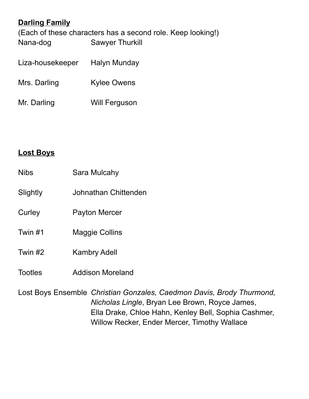## **Darling Family**

(Each of these characters has a second role. Keep looking!) Nana-dog Sawyer Thurkill

- Liza-housekeeper Halyn Munday Mrs. Darling Kylee Owens
- Mr. Darling Will Ferguson

#### **Lost Boys**

- Nibs Sara Mulcahy
- Slightly Johnathan Chittenden
- Curley Payton Mercer
- Twin #1 Maggie Collins
- Twin #2 Kambry Adell
- Tootles Addison Moreland

Lost Boys Ensemble *Christian Gonzales, Caedmon Davis, Brody Thurmond, Nicholas Lingle*, Bryan Lee Brown, Royce James, Ella Drake, Chloe Hahn, Kenley Bell, Sophia Cashmer, Willow Recker, Ender Mercer, Timothy Wallace